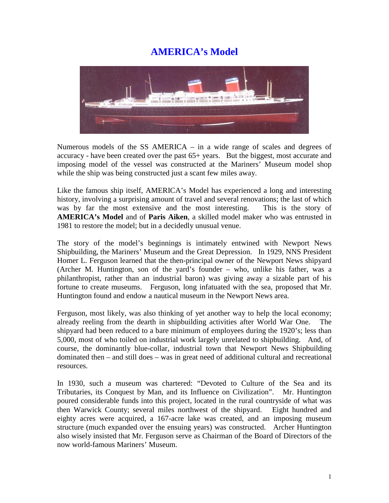## **AMERICA's Model**



Numerous models of the SS AMERICA – in a wide range of scales and degrees of accuracy - have been created over the past 65+ years. But the biggest, most accurate and imposing model of the vessel was constructed at the Mariners' Museum model shop while the ship was being constructed just a scant few miles away.

Like the famous ship itself, AMERICA's Model has experienced a long and interesting history, involving a surprising amount of travel and several renovations; the last of which was by far the most extensive and the most interesting. This is the story of **AMERICA's Model** and of **Paris Aiken**, a skilled model maker who was entrusted in 1981 to restore the model; but in a decidedly unusual venue.

The story of the model's beginnings is intimately entwined with Newport News Shipbuilding, the Mariners' Museum and the Great Depression. In 1929, NNS President Homer L. Ferguson learned that the then-principal owner of the Newport News shipyard (Archer M. Huntington, son of the yard's founder – who, unlike his father, was a philanthropist, rather than an industrial baron) was giving away a sizable part of his fortune to create museums. Ferguson, long infatuated with the sea, proposed that Mr. Huntington found and endow a nautical museum in the Newport News area.

Ferguson, most likely, was also thinking of yet another way to help the local economy; already reeling from the dearth in shipbuilding activities after World War One. The shipyard had been reduced to a bare minimum of employees during the 1920's; less than 5,000, most of who toiled on industrial work largely unrelated to shipbuilding. And, of course, the dominantly blue-collar, industrial town that Newport News Shipbuilding dominated then – and still does – was in great need of additional cultural and recreational resources.

In 1930, such a museum was chartered: "Devoted to Culture of the Sea and its Tributaries, its Conquest by Man, and its Influence on Civilization". Mr. Huntington poured considerable funds into this project, located in the rural countryside of what was then Warwick County; several miles northwest of the shipyard. Eight hundred and eighty acres were acquired, a 167-acre lake was created, and an imposing museum structure (much expanded over the ensuing years) was constructed. Archer Huntington also wisely insisted that Mr. Ferguson serve as Chairman of the Board of Directors of the now world-famous Mariners' Museum.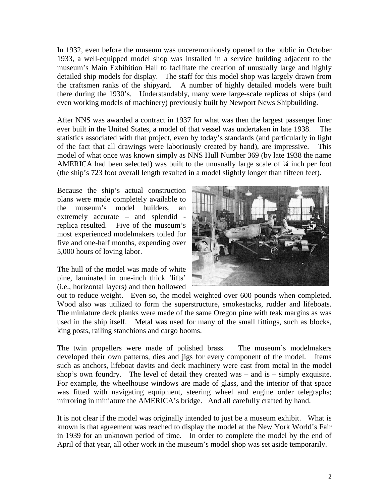In 1932, even before the museum was unceremoniously opened to the public in October 1933, a well-equipped model shop was installed in a service building adjacent to the museum's Main Exhibition Hall to facilitate the creation of unusually large and highly detailed ship models for display. The staff for this model shop was largely drawn from the craftsmen ranks of the shipyard. A number of highly detailed models were built there during the 1930's. Understandably, many were large-scale replicas of ships (and even working models of machinery) previously built by Newport News Shipbuilding.

After NNS was awarded a contract in 1937 for what was then the largest passenger liner ever built in the United States, a model of that vessel was undertaken in late 1938. The statistics associated with that project, even by today's standards (and particularly in light of the fact that all drawings were laboriously created by hand), are impressive. This model of what once was known simply as NNS Hull Number 369 (by late 1938 the name AMERICA had been selected) was built to the unusually large scale of ¼ inch per foot (the ship's 723 foot overall length resulted in a model slightly longer than fifteen feet).

Because the ship's actual construction plans were made completely available to the museum's model builders, an extremely accurate – and splendid replica resulted. Five of the museum's most experienced modelmakers toiled for five and one-half months, expending over 5,000 hours of loving labor.

The hull of the model was made of white pine, laminated in one-inch thick 'lifts' (i.e., horizontal layers) and then hollowed



out to reduce weight. Even so, the model weighted over 600 pounds when completed. Wood also was utilized to form the superstructure, smokestacks, rudder and lifeboats. The miniature deck planks were made of the same Oregon pine with teak margins as was used in the ship itself. Metal was used for many of the small fittings, such as blocks, king posts, railing stanchions and cargo booms.

The twin propellers were made of polished brass. The museum's modelmakers developed their own patterns, dies and jigs for every component of the model. Items such as anchors, lifeboat davits and deck machinery were cast from metal in the model shop's own foundry. The level of detail they created was – and is – simply exquisite. For example, the wheelhouse windows are made of glass, and the interior of that space was fitted with navigating equipment, steering wheel and engine order telegraphs; mirroring in miniature the AMERICA's bridge. And all carefully crafted by hand.

It is not clear if the model was originally intended to just be a museum exhibit. What is known is that agreement was reached to display the model at the New York World's Fair in 1939 for an unknown period of time. In order to complete the model by the end of April of that year, all other work in the museum's model shop was set aside temporarily.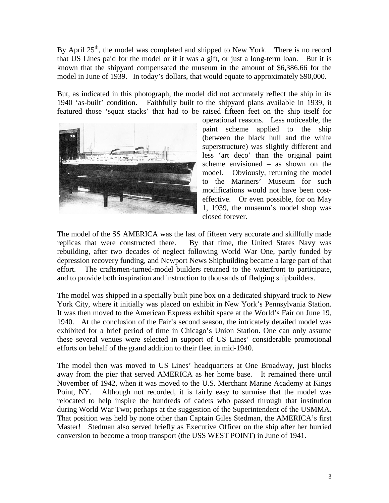By April  $25<sup>th</sup>$ , the model was completed and shipped to New York. There is no record that US Lines paid for the model or if it was a gift, or just a long-term loan. But it is known that the shipyard compensated the museum in the amount of \$6,386.66 for the model in June of 1939. In today's dollars, that would equate to approximately \$90,000.

But, as indicated in this photograph, the model did not accurately reflect the ship in its 1940 'as-built' condition. Faithfully built to the shipyard plans available in 1939, it featured those 'squat stacks' that had to be raised fifteen feet on the ship itself for



operational reasons. Less noticeable, the paint scheme applied to the ship (between the black hull and the white superstructure) was slightly different and less 'art deco' than the original paint scheme envisioned – as shown on the model. Obviously, returning the model to the Mariners' Museum for such modifications would not have been costeffective. Or even possible, for on May 1, 1939, the museum's model shop was closed forever.

The model of the SS AMERICA was the last of fifteen very accurate and skillfully made replicas that were constructed there. By that time, the United States Navy was rebuilding, after two decades of neglect following World War One, partly funded by depression recovery funding, and Newport News Shipbuilding became a large part of that effort. The craftsmen-turned-model builders returned to the waterfront to participate, and to provide both inspiration and instruction to thousands of fledging shipbuilders.

The model was shipped in a specially built pine box on a dedicated shipyard truck to New York City, where it initially was placed on exhibit in New York's Pennsylvania Station. It was then moved to the American Express exhibit space at the World's Fair on June 19, 1940. At the conclusion of the Fair's second season, the intricately detailed model was exhibited for a brief period of time in Chicago's Union Station. One can only assume these several venues were selected in support of US Lines' considerable promotional efforts on behalf of the grand addition to their fleet in mid-1940.

The model then was moved to US Lines' headquarters at One Broadway, just blocks away from the pier that served AMERICA as her home base. It remained there until November of 1942, when it was moved to the U.S. Merchant Marine Academy at Kings Point, NY. Although not recorded, it is fairly easy to surmise that the model was relocated to help inspire the hundreds of cadets who passed through that institution during World War Two; perhaps at the suggestion of the Superintendent of the USMMA. That position was held by none other than Captain Giles Stedman, the AMERICA's first Master! Stedman also served briefly as Executive Officer on the ship after her hurried conversion to become a troop transport (the USS WEST POINT) in June of 1941.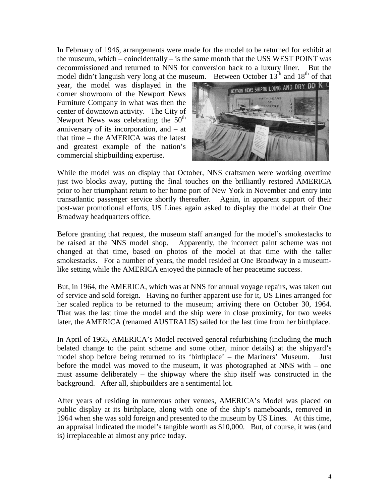In February of 1946, arrangements were made for the model to be returned for exhibit at the museum, which – coincidentally – is the same month that the USS WEST POINT was decommissioned and returned to NNS for conversion back to a luxury liner. But the model didn't languish very long at the museum. Between October  $13<sup>th</sup>$  and  $18<sup>th</sup>$  of that

year, the model was displayed in the corner showroom of the Newport News Furniture Company in what was then the center of downtown activity. The City of Newport News was celebrating the  $50<sup>th</sup>$ anniversary of its incorporation, and – at that time – the AMERICA was the latest and greatest example of the nation's commercial shipbuilding expertise.



While the model was on display that October, NNS craftsmen were working overtime just two blocks away, putting the final touches on the brilliantly restored AMERICA prior to her triumphant return to her home port of New York in November and entry into transatlantic passenger service shortly thereafter. Again, in apparent support of their post-war promotional efforts, US Lines again asked to display the model at their One Broadway headquarters office.

Before granting that request, the museum staff arranged for the model's smokestacks to be raised at the NNS model shop. Apparently, the incorrect paint scheme was not changed at that time, based on photos of the model at that time with the taller smokestacks. For a number of years, the model resided at One Broadway in a museumlike setting while the AMERICA enjoyed the pinnacle of her peacetime success.

But, in 1964, the AMERICA, which was at NNS for annual voyage repairs, was taken out of service and sold foreign. Having no further apparent use for it, US Lines arranged for her scaled replica to be returned to the museum; arriving there on October 30, 1964. That was the last time the model and the ship were in close proximity, for two weeks later, the AMERICA (renamed AUSTRALIS) sailed for the last time from her birthplace.

In April of 1965, AMERICA's Model received general refurbishing (including the much belated change to the paint scheme and some other, minor details) at the shipyard's model shop before being returned to its 'birthplace' – the Mariners' Museum. Just before the model was moved to the museum, it was photographed at NNS with – one must assume deliberately – the shipway where the ship itself was constructed in the background. After all, shipbuilders are a sentimental lot.

After years of residing in numerous other venues, AMERICA's Model was placed on public display at its birthplace, along with one of the ship's nameboards, removed in 1964 when she was sold foreign and presented to the museum by US Lines. At this time, an appraisal indicated the model's tangible worth as \$10,000. But, of course, it was (and is) irreplaceable at almost any price today.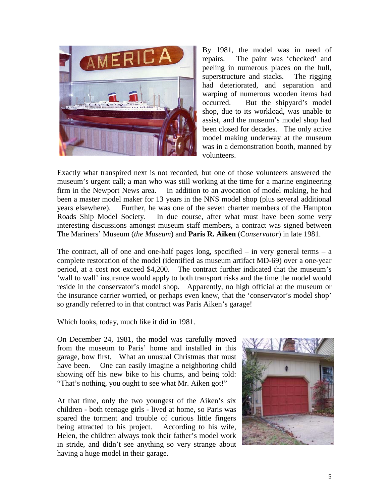

By 1981, the model was in need of repairs. The paint was 'checked' and peeling in numerous places on the hull, superstructure and stacks. The rigging had deteriorated, and separation and warping of numerous wooden items had occurred. But the shipyard's model shop, due to its workload, was unable to assist, and the museum's model shop had been closed for decades. The only active model making underway at the museum was in a demonstration booth, manned by volunteers.

Exactly what transpired next is not recorded, but one of those volunteers answered the museum's urgent call; a man who was still working at the time for a marine engineering firm in the Newport News area. In addition to an avocation of model making, he had been a master model maker for 13 years in the NNS model shop (plus several additional years elsewhere). Further, he was one of the seven charter members of the Hampton Roads Ship Model Society. In due course, after what must have been some very interesting discussions amongst museum staff members, a contract was signed between The Mariners' Museum (*the Museum*) and **Paris R. Aiken** (C*onservator*) in late 1981.

The contract, all of one and one-half pages long, specified  $-$  in very general terms  $-$  a complete restoration of the model (identified as museum artifact MD-69) over a one-year period, at a cost not exceed \$4,200. The contract further indicated that the museum's 'wall to wall' insurance would apply to both transport risks and the time the model would reside in the conservator's model shop. Apparently, no high official at the museum or the insurance carrier worried, or perhaps even knew, that the 'conservator's model shop' so grandly referred to in that contract was Paris Aiken's garage!

Which looks, today, much like it did in 1981.

On December 24, 1981, the model was carefully moved from the museum to Paris' home and installed in this garage, bow first. What an unusual Christmas that must have been. One can easily imagine a neighboring child showing off his new bike to his chums, and being told: "That's nothing, you ought to see what Mr. Aiken got!"

At that time, only the two youngest of the Aiken's six children - both teenage girls - lived at home, so Paris was spared the torment and trouble of curious little fingers being attracted to his project. According to his wife, Helen, the children always took their father's model work in stride, and didn't see anything so very strange about having a huge model in their garage.

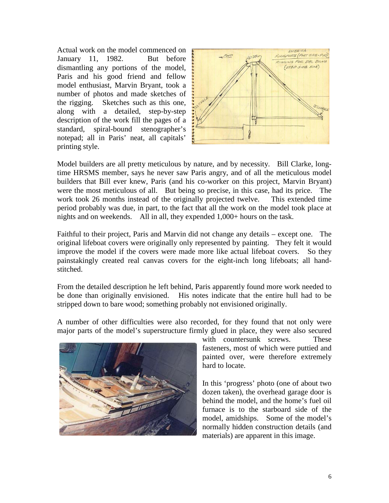Actual work on the model commenced on January 11, 1982. But before dismantling any portions of the model, Paris and his good friend and fellow model enthusiast, Marvin Bryant, took a number of photos and made sketches of the rigging. Sketches such as this one, along with a detailed, step-by-step description of the work fill the pages of a standard, spiral-bound stenographer's notepad; all in Paris' neat, all capitals' printing style.



Model builders are all pretty meticulous by nature, and by necessity. Bill Clarke, longtime HRSMS member, says he never saw Paris angry, and of all the meticulous model builders that Bill ever knew, Paris (and his co-worker on this project, Marvin Bryant) were the most meticulous of all. But being so precise, in this case, had its price. The work took 26 months instead of the originally projected twelve. This extended time period probably was due, in part, to the fact that all the work on the model took place at nights and on weekends. All in all, they expended 1,000+ hours on the task.

Faithful to their project, Paris and Marvin did not change any details – except one. The original lifeboat covers were originally only represented by painting. They felt it would improve the model if the covers were made more like actual lifeboat covers. So they painstakingly created real canvas covers for the eight-inch long lifeboats; all handstitched.

From the detailed description he left behind, Paris apparently found more work needed to be done than originally envisioned. His notes indicate that the entire hull had to be stripped down to bare wood; something probably not envisioned originally.

A number of other difficulties were also recorded, for they found that not only were major parts of the model's superstructure firmly glued in place, they were also secured



with countersunk screws. These fasteners, most of which were puttied and painted over, were therefore extremely hard to locate.

In this 'progress' photo (one of about two dozen taken), the overhead garage door is behind the model, and the home's fuel oil furnace is to the starboard side of the model, amidships. Some of the model's normally hidden construction details (and materials) are apparent in this image.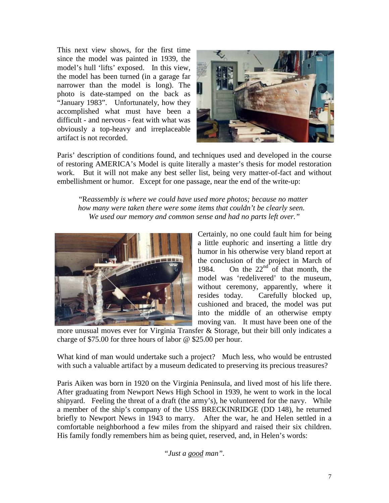This next view shows, for the first time since the model was painted in 1939, the model's hull 'lifts' exposed. In this view, the model has been turned (in a garage far narrower than the model is long). The photo is date-stamped on the back as "January 1983". Unfortunately, how they accomplished what must have been a difficult - and nervous - feat with what was obviously a top-heavy and irreplaceable artifact is not recorded.



Paris' description of conditions found, and techniques used and developed in the course of restoring AMERICA's Model is quite literally a master's thesis for model restoration work. But it will not make any best seller list, being very matter-of-fact and without embellishment or humor. Except for one passage, near the end of the write-up:

"R*eassembly is where we could have used more photos; because no matter how many were taken there were some items that couldn't be clearly seen. We used our memory and common sense and had no parts left over."*



Certainly, no one could fault him for being a little euphoric and inserting a little dry humor in his otherwise very bland report at the conclusion of the project in March of 1984. On the  $22<sup>nd</sup>$  of that month, the model was 'redelivered' to the museum, without ceremony, apparently, where it resides today. Carefully blocked up, cushioned and braced, the model was put into the middle of an otherwise empty moving van. It must have been one of the

more unusual moves ever for Virginia Transfer & Storage, but their bill only indicates a charge of \$75.00 for three hours of labor @ \$25.00 per hour.

What kind of man would undertake such a project? Much less, who would be entrusted with such a valuable artifact by a museum dedicated to preserving its precious treasures?

Paris Aiken was born in 1920 on the Virginia Peninsula, and lived most of his life there. After graduating from Newport News High School in 1939, he went to work in the local shipyard. Feeling the threat of a draft (the army's), he volunteered for the navy. While a member of the ship's company of the USS BRECKINRIDGE (DD 148), he returned briefly to Newport News in 1943 to marry. After the war, he and Helen settled in a comfortable neighborhood a few miles from the shipyard and raised their six children. His family fondly remembers him as being quiet, reserved, and, in Helen's words:

*"Just a good man".*